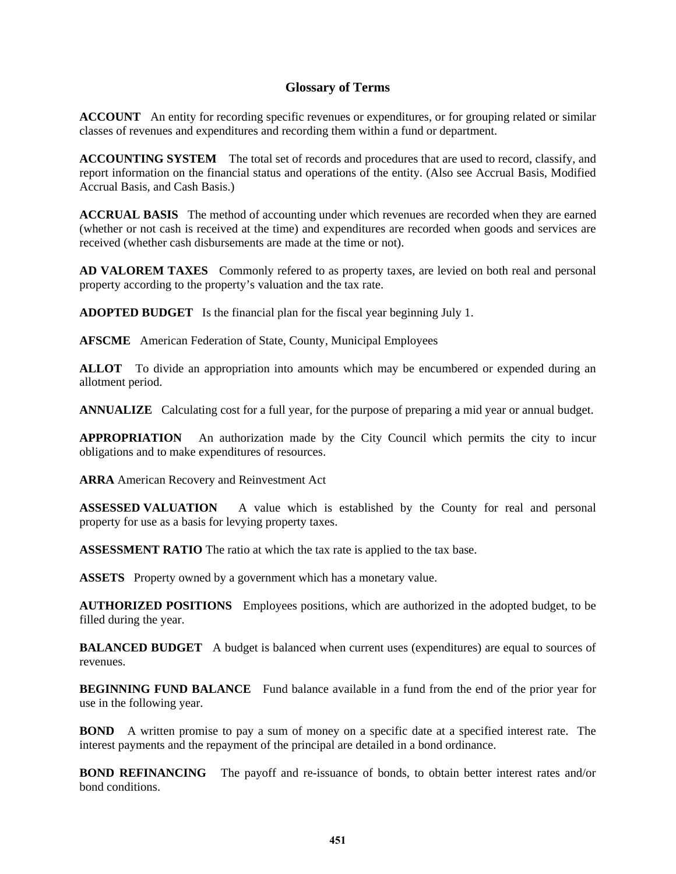## **Glossary of Terms**

**ACCOUNT** An entity for recording specific revenues or expenditures, or for grouping related or similar classes of revenues and expenditures and recording them within a fund or department.

**ACCOUNTING SYSTEM** The total set of records and procedures that are used to record, classify, and report information on the financial status and operations of the entity. (Also see Accrual Basis, Modified Accrual Basis, and Cash Basis.)

**ACCRUAL BASIS** The method of accounting under which revenues are recorded when they are earned (whether or not cash is received at the time) and expenditures are recorded when goods and services are received (whether cash disbursements are made at the time or not).

**AD VALOREM TAXES** Commonly refered to as property taxes, are levied on both real and personal property according to the property's valuation and the tax rate.

**ADOPTED BUDGET** Is the financial plan for the fiscal year beginning July 1.

**AFSCME** American Federation of State, County, Municipal Employees

**ALLOT** To divide an appropriation into amounts which may be encumbered or expended during an allotment period.

**ANNUALIZE** Calculating cost for a full year, for the purpose of preparing a mid year or annual budget.

**APPROPRIATION** An authorization made by the City Council which permits the city to incur obligations and to make expenditures of resources.

**ARRA** American Recovery and Reinvestment Act

**ASSESSED VALUATION** A value which is established by the County for real and personal property for use as a basis for levying property taxes.

**ASSESSMENT RATIO** The ratio at which the tax rate is applied to the tax base.

**ASSETS** Property owned by a government which has a monetary value.

**AUTHORIZED POSITIONS** Employees positions, which are authorized in the adopted budget, to be filled during the year.

**BALANCED BUDGET** A budget is balanced when current uses (expenditures) are equal to sources of revenues.

**BEGINNING FUND BALANCE** Fund balance available in a fund from the end of the prior year for use in the following year.

**BOND** A written promise to pay a sum of money on a specific date at a specified interest rate. The interest payments and the repayment of the principal are detailed in a bond ordinance.

**BOND REFINANCING** The payoff and re-issuance of bonds, to obtain better interest rates and/or bond conditions.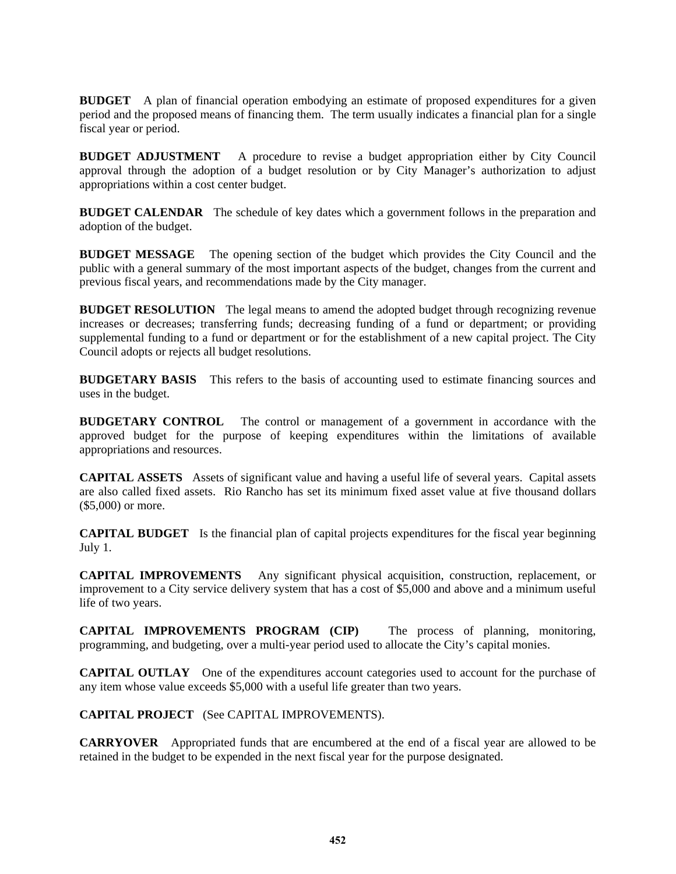**BUDGET** A plan of financial operation embodying an estimate of proposed expenditures for a given period and the proposed means of financing them. The term usually indicates a financial plan for a single fiscal year or period.

**BUDGET ADJUSTMENT** A procedure to revise a budget appropriation either by City Council approval through the adoption of a budget resolution or by City Manager's authorization to adjust appropriations within a cost center budget.

**BUDGET CALENDAR** The schedule of key dates which a government follows in the preparation and adoption of the budget.

**BUDGET MESSAGE** The opening section of the budget which provides the City Council and the public with a general summary of the most important aspects of the budget, changes from the current and previous fiscal years, and recommendations made by the City manager.

**BUDGET RESOLUTION** The legal means to amend the adopted budget through recognizing revenue increases or decreases; transferring funds; decreasing funding of a fund or department; or providing supplemental funding to a fund or department or for the establishment of a new capital project. The City Council adopts or rejects all budget resolutions.

**BUDGETARY BASIS** This refers to the basis of accounting used to estimate financing sources and uses in the budget.

**BUDGETARY CONTROL** The control or management of a government in accordance with the approved budget for the purpose of keeping expenditures within the limitations of available appropriations and resources.

**CAPITAL ASSETS** Assets of significant value and having a useful life of several years. Capital assets are also called fixed assets. Rio Rancho has set its minimum fixed asset value at five thousand dollars (\$5,000) or more.

**CAPITAL BUDGET** Is the financial plan of capital projects expenditures for the fiscal year beginning July 1.

**CAPITAL IMPROVEMENTS** Any significant physical acquisition, construction, replacement, or improvement to a City service delivery system that has a cost of \$5,000 and above and a minimum useful life of two years.

**CAPITAL IMPROVEMENTS PROGRAM (CIP)** The process of planning, monitoring, programming, and budgeting, over a multi-year period used to allocate the City's capital monies.

**CAPITAL OUTLAY** One of the expenditures account categories used to account for the purchase of any item whose value exceeds \$5,000 with a useful life greater than two years.

**CAPITAL PROJECT** (See CAPITAL IMPROVEMENTS).

**CARRYOVER** Appropriated funds that are encumbered at the end of a fiscal year are allowed to be retained in the budget to be expended in the next fiscal year for the purpose designated.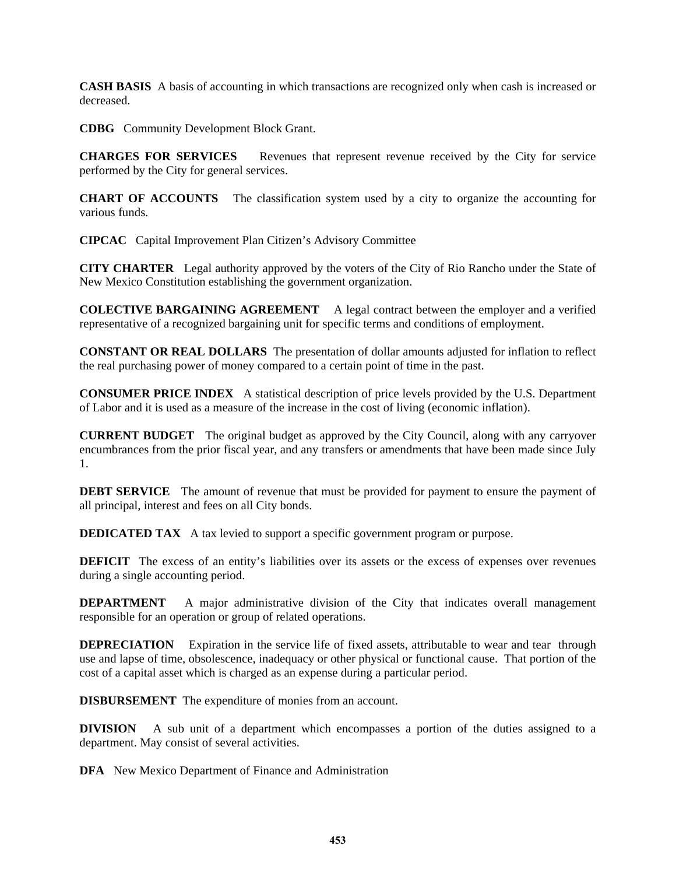**CASH BASIS** A basis of accounting in which transactions are recognized only when cash is increased or decreased.

**CDBG** Community Development Block Grant.

**CHARGES FOR SERVICES** Revenues that represent revenue received by the City for service performed by the City for general services.

**CHART OF ACCOUNTS** The classification system used by a city to organize the accounting for various funds.

**CIPCAC** Capital Improvement Plan Citizen's Advisory Committee

**CITY CHARTER** Legal authority approved by the voters of the City of Rio Rancho under the State of New Mexico Constitution establishing the government organization.

**COLECTIVE BARGAINING AGREEMENT** A legal contract between the employer and a verified representative of a recognized bargaining unit for specific terms and conditions of employment.

**CONSTANT OR REAL DOLLARS** The presentation of dollar amounts adjusted for inflation to reflect the real purchasing power of money compared to a certain point of time in the past.

**CONSUMER PRICE INDEX** A statistical description of price levels provided by the U.S. Department of Labor and it is used as a measure of the increase in the cost of living (economic inflation).

**CURRENT BUDGET** The original budget as approved by the City Council, along with any carryover encumbrances from the prior fiscal year, and any transfers or amendments that have been made since July 1.

**DEBT SERVICE** The amount of revenue that must be provided for payment to ensure the payment of all principal, interest and fees on all City bonds.

**DEDICATED TAX** A tax levied to support a specific government program or purpose.

**DEFICIT** The excess of an entity's liabilities over its assets or the excess of expenses over revenues during a single accounting period.

**DEPARTMENT** A major administrative division of the City that indicates overall management responsible for an operation or group of related operations.

**DEPRECIATION** Expiration in the service life of fixed assets, attributable to wear and tear through use and lapse of time, obsolescence, inadequacy or other physical or functional cause. That portion of the cost of a capital asset which is charged as an expense during a particular period.

**DISBURSEMENT** The expenditure of monies from an account.

**DIVISION** A sub unit of a department which encompasses a portion of the duties assigned to a department. May consist of several activities.

**DFA** New Mexico Department of Finance and Administration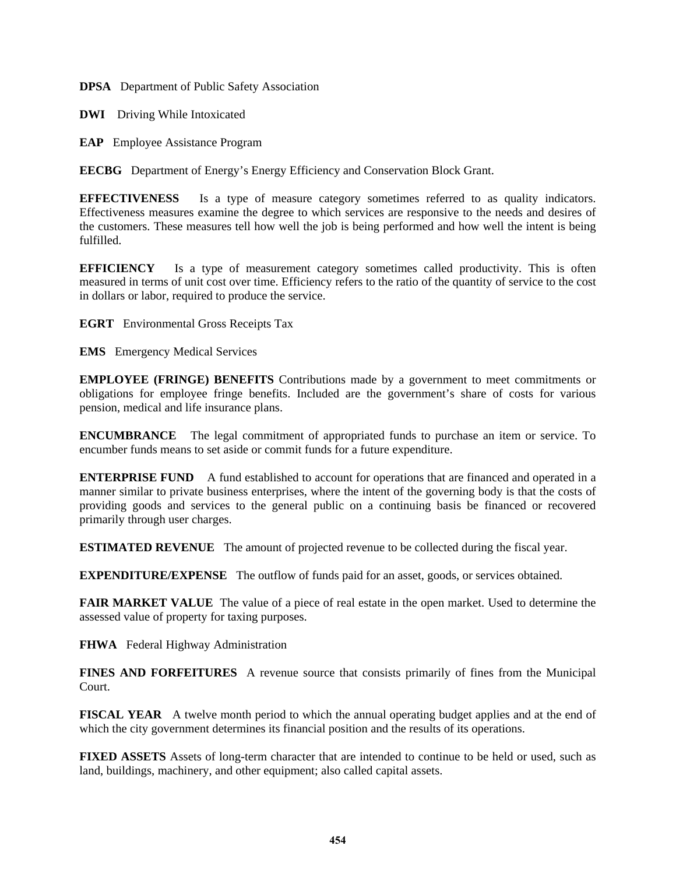**DPSA** Department of Public Safety Association

**DWI** Driving While Intoxicated

**EAP** Employee Assistance Program

**EECBG** Department of Energy's Energy Efficiency and Conservation Block Grant.

**EFFECTIVENESS** Is a type of measure category sometimes referred to as quality indicators. Effectiveness measures examine the degree to which services are responsive to the needs and desires of the customers. These measures tell how well the job is being performed and how well the intent is being fulfilled.

**EFFICIENCY** Is a type of measurement category sometimes called productivity. This is often measured in terms of unit cost over time. Efficiency refers to the ratio of the quantity of service to the cost in dollars or labor, required to produce the service.

**EGRT** Environmental Gross Receipts Tax

**EMS** Emergency Medical Services

**EMPLOYEE (FRINGE) BENEFITS** Contributions made by a government to meet commitments or obligations for employee fringe benefits. Included are the government's share of costs for various pension, medical and life insurance plans.

**ENCUMBRANCE** The legal commitment of appropriated funds to purchase an item or service. To encumber funds means to set aside or commit funds for a future expenditure.

**ENTERPRISE FUND** A fund established to account for operations that are financed and operated in a manner similar to private business enterprises, where the intent of the governing body is that the costs of providing goods and services to the general public on a continuing basis be financed or recovered primarily through user charges.

**ESTIMATED REVENUE** The amount of projected revenue to be collected during the fiscal year.

**EXPENDITURE/EXPENSE** The outflow of funds paid for an asset, goods, or services obtained.

**FAIR MARKET VALUE** The value of a piece of real estate in the open market. Used to determine the assessed value of property for taxing purposes.

**FHWA** Federal Highway Administration

**FINES AND FORFEITURES** A revenue source that consists primarily of fines from the Municipal Court.

**FISCAL YEAR** A twelve month period to which the annual operating budget applies and at the end of which the city government determines its financial position and the results of its operations.

**FIXED ASSETS** Assets of long-term character that are intended to continue to be held or used, such as land, buildings, machinery, and other equipment; also called capital assets.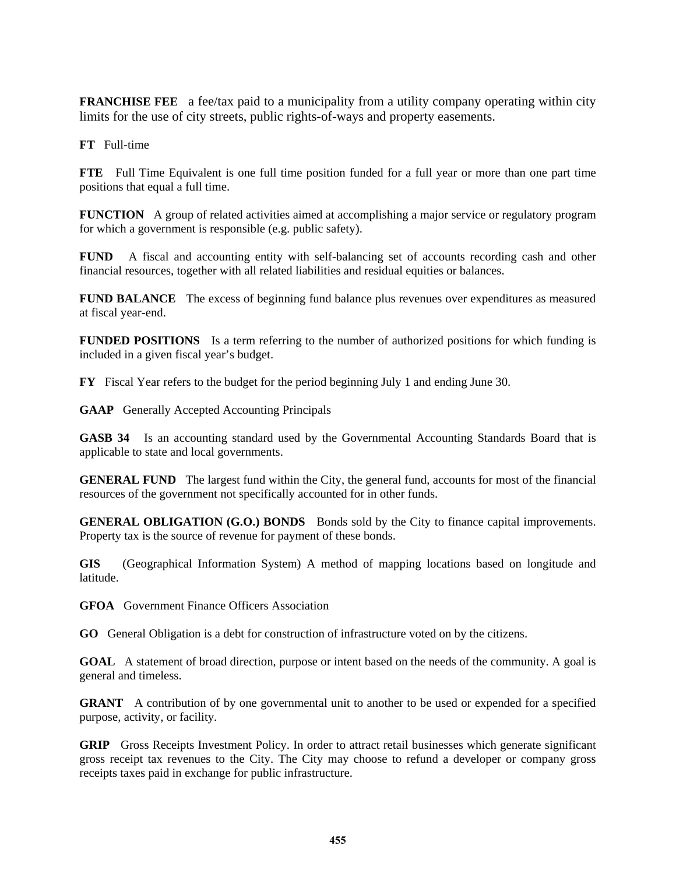**FRANCHISE FEE** a fee/tax paid to a municipality from a utility company operating within city limits for the use of city streets, public rights-of-ways and property easements.

**FT** Full-time

**FTE** Full Time Equivalent is one full time position funded for a full year or more than one part time positions that equal a full time.

**FUNCTION** A group of related activities aimed at accomplishing a major service or regulatory program for which a government is responsible (e.g. public safety).

**FUND** A fiscal and accounting entity with self-balancing set of accounts recording cash and other financial resources, together with all related liabilities and residual equities or balances.

**FUND BALANCE** The excess of beginning fund balance plus revenues over expenditures as measured at fiscal year-end.

**FUNDED POSITIONS** Is a term referring to the number of authorized positions for which funding is included in a given fiscal year's budget.

**FY** Fiscal Year refers to the budget for the period beginning July 1 and ending June 30.

**GAAP** Generally Accepted Accounting Principals

**GASB 34** Is an accounting standard used by the Governmental Accounting Standards Board that is applicable to state and local governments.

**GENERAL FUND** The largest fund within the City, the general fund, accounts for most of the financial resources of the government not specifically accounted for in other funds.

**GENERAL OBLIGATION (G.O.) BONDS** Bonds sold by the City to finance capital improvements. Property tax is the source of revenue for payment of these bonds.

**GIS** (Geographical Information System) A method of mapping locations based on longitude and latitude.

**GFOA** Government Finance Officers Association

**GO** General Obligation is a debt for construction of infrastructure voted on by the citizens.

**GOAL** A statement of broad direction, purpose or intent based on the needs of the community. A goal is general and timeless.

**GRANT** A contribution of by one governmental unit to another to be used or expended for a specified purpose, activity, or facility.

**GRIP** Gross Receipts Investment Policy. In order to attract retail businesses which generate significant gross receipt tax revenues to the City. The City may choose to refund a developer or company gross receipts taxes paid in exchange for public infrastructure.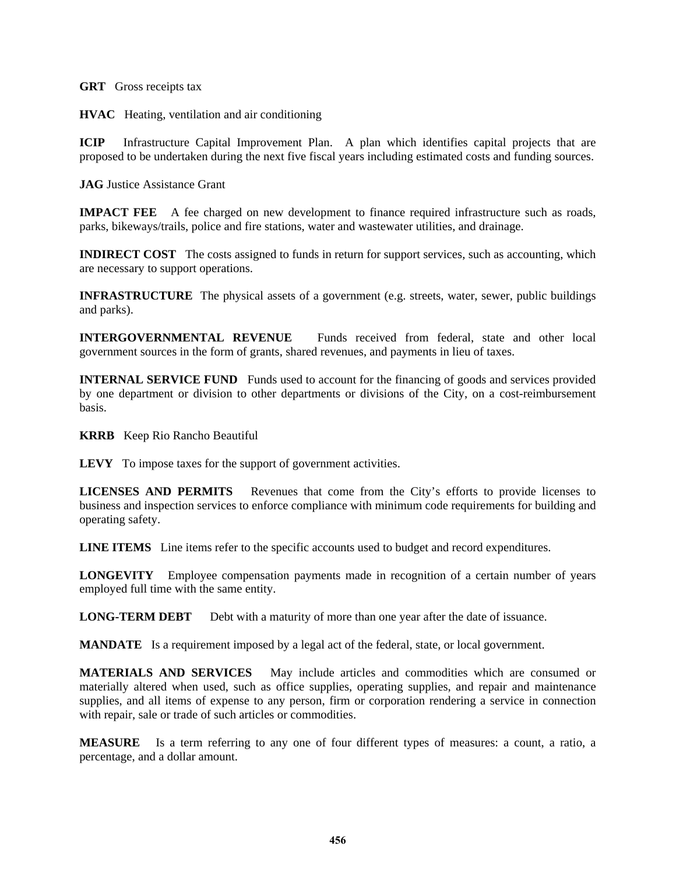**GRT** Gross receipts tax

**HVAC** Heating, ventilation and air conditioning

**ICIP** Infrastructure Capital Improvement Plan. A plan which identifies capital projects that are proposed to be undertaken during the next five fiscal years including estimated costs and funding sources.

**JAG** Justice Assistance Grant

**IMPACT FEE** A fee charged on new development to finance required infrastructure such as roads, parks, bikeways/trails, police and fire stations, water and wastewater utilities, and drainage.

**INDIRECT COST** The costs assigned to funds in return for support services, such as accounting, which are necessary to support operations.

**INFRASTRUCTURE** The physical assets of a government (e.g. streets, water, sewer, public buildings and parks).

**INTERGOVERNMENTAL REVENUE** Funds received from federal, state and other local government sources in the form of grants, shared revenues, and payments in lieu of taxes.

**INTERNAL SERVICE FUND** Funds used to account for the financing of goods and services provided by one department or division to other departments or divisions of the City, on a cost-reimbursement basis.

**KRRB** Keep Rio Rancho Beautiful

**LEVY** To impose taxes for the support of government activities.

**LICENSES AND PERMITS** Revenues that come from the City's efforts to provide licenses to business and inspection services to enforce compliance with minimum code requirements for building and operating safety.

**LINE ITEMS** Line items refer to the specific accounts used to budget and record expenditures.

**LONGEVITY** Employee compensation payments made in recognition of a certain number of years employed full time with the same entity.

**LONG-TERM DEBT** Debt with a maturity of more than one year after the date of issuance.

**MANDATE** Is a requirement imposed by a legal act of the federal, state, or local government.

**MATERIALS AND SERVICES** May include articles and commodities which are consumed or materially altered when used, such as office supplies, operating supplies, and repair and maintenance supplies, and all items of expense to any person, firm or corporation rendering a service in connection with repair, sale or trade of such articles or commodities.

**MEASURE** Is a term referring to any one of four different types of measures: a count, a ratio, a percentage, and a dollar amount.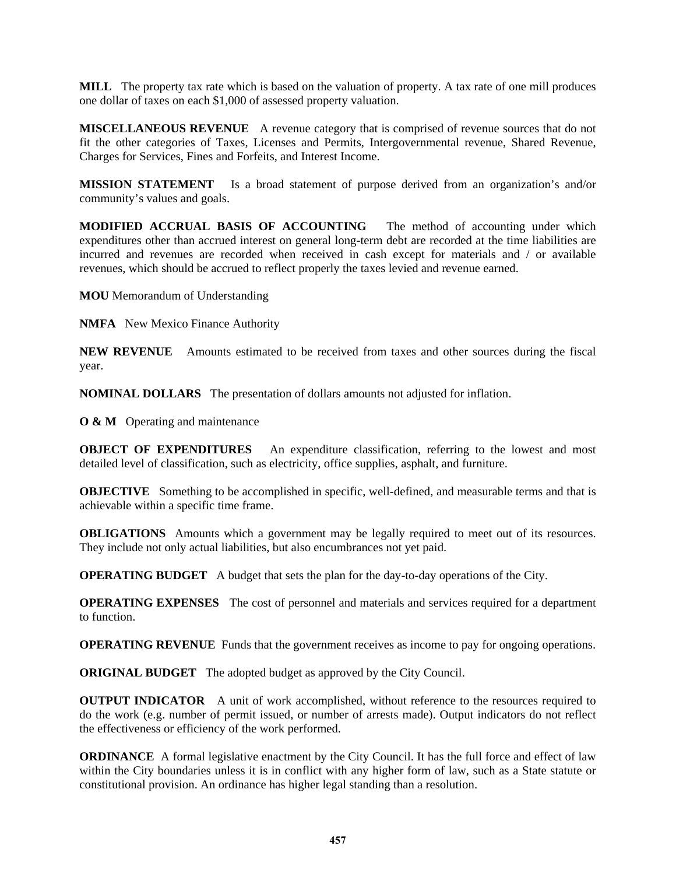**MILL** The property tax rate which is based on the valuation of property. A tax rate of one mill produces one dollar of taxes on each \$1,000 of assessed property valuation.

**MISCELLANEOUS REVENUE** A revenue category that is comprised of revenue sources that do not fit the other categories of Taxes, Licenses and Permits, Intergovernmental revenue, Shared Revenue, Charges for Services, Fines and Forfeits, and Interest Income.

**MISSION STATEMENT** Is a broad statement of purpose derived from an organization's and/or community's values and goals.

**MODIFIED ACCRUAL BASIS OF ACCOUNTING** The method of accounting under which expenditures other than accrued interest on general long-term debt are recorded at the time liabilities are incurred and revenues are recorded when received in cash except for materials and / or available revenues, which should be accrued to reflect properly the taxes levied and revenue earned.

**MOU** Memorandum of Understanding

**NMFA** New Mexico Finance Authority

**NEW REVENUE** Amounts estimated to be received from taxes and other sources during the fiscal year.

**NOMINAL DOLLARS** The presentation of dollars amounts not adjusted for inflation.

**O & M** Operating and maintenance

**OBJECT OF EXPENDITURES** An expenditure classification, referring to the lowest and most detailed level of classification, such as electricity, office supplies, asphalt, and furniture.

**OBJECTIVE** Something to be accomplished in specific, well-defined, and measurable terms and that is achievable within a specific time frame.

**OBLIGATIONS** Amounts which a government may be legally required to meet out of its resources. They include not only actual liabilities, but also encumbrances not yet paid.

**OPERATING BUDGET** A budget that sets the plan for the day-to-day operations of the City.

**OPERATING EXPENSES** The cost of personnel and materials and services required for a department to function.

**OPERATING REVENUE** Funds that the government receives as income to pay for ongoing operations.

**ORIGINAL BUDGET** The adopted budget as approved by the City Council.

**OUTPUT INDICATOR** A unit of work accomplished, without reference to the resources required to do the work (e.g. number of permit issued, or number of arrests made). Output indicators do not reflect the effectiveness or efficiency of the work performed.

**ORDINANCE** A formal legislative enactment by the City Council. It has the full force and effect of law within the City boundaries unless it is in conflict with any higher form of law, such as a State statute or constitutional provision. An ordinance has higher legal standing than a resolution.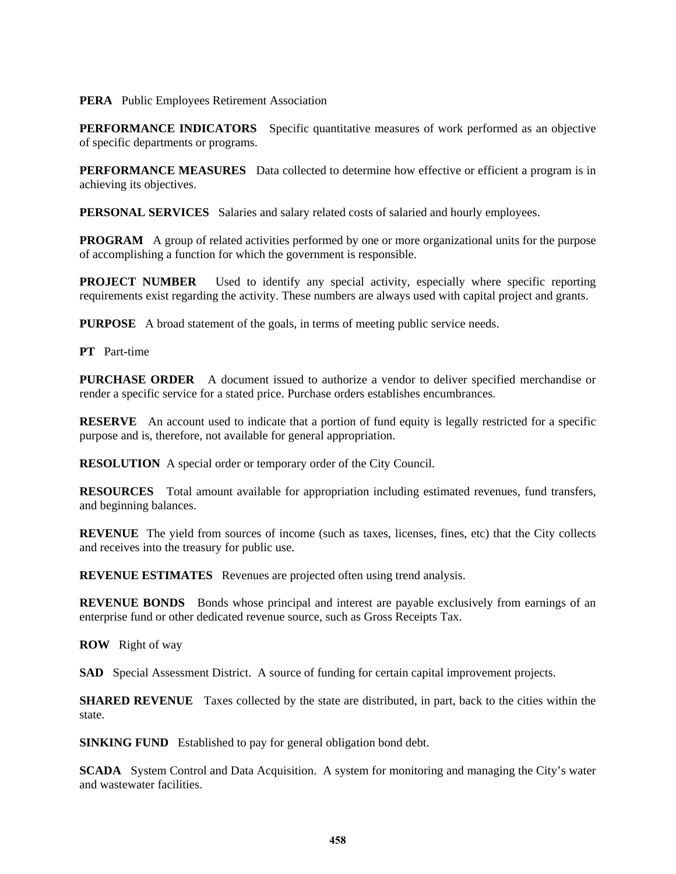## **PERA** Public Employees Retirement Association

**PERFORMANCE INDICATORS** Specific quantitative measures of work performed as an objective of specific departments or programs.

**PERFORMANCE MEASURES** Data collected to determine how effective or efficient a program is in achieving its objectives.

**PERSONAL SERVICES** Salaries and salary related costs of salaried and hourly employees.

**PROGRAM** A group of related activities performed by one or more organizational units for the purpose of accomplishing a function for which the government is responsible.

**PROJECT NUMBER** Used to identify any special activity, especially where specific reporting requirements exist regarding the activity. These numbers are always used with capital project and grants.

**PURPOSE** A broad statement of the goals, in terms of meeting public service needs.

**PT** Part-time

**PURCHASE ORDER** A document issued to authorize a vendor to deliver specified merchandise or render a specific service for a stated price. Purchase orders establishes encumbrances.

**RESERVE** An account used to indicate that a portion of fund equity is legally restricted for a specific purpose and is, therefore, not available for general appropriation.

**RESOLUTION** A special order or temporary order of the City Council.

**RESOURCES** Total amount available for appropriation including estimated revenues, fund transfers, and beginning balances.

**REVENUE** The yield from sources of income (such as taxes, licenses, fines, etc) that the City collects and receives into the treasury for public use.

**REVENUE ESTIMATES** Revenues are projected often using trend analysis.

**REVENUE BONDS** Bonds whose principal and interest are payable exclusively from earnings of an enterprise fund or other dedicated revenue source, such as Gross Receipts Tax.

**ROW** Right of way

**SAD** Special Assessment District. A source of funding for certain capital improvement projects.

**SHARED REVENUE** Taxes collected by the state are distributed, in part, back to the cities within the state.

**SINKING FUND** Established to pay for general obligation bond debt.

**SCADA** System Control and Data Acquisition. A system for monitoring and managing the City's water and wastewater facilities.